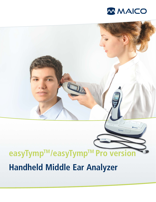

# UT DE **easyTymp TM/easyTymp TM Pro version Handheld Middle Ear Analyzer**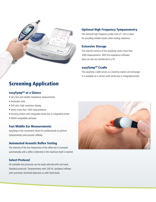

# Screening Application

## easyTymp™ at a Glance

- Very fast and reliable impedance measurements
- Automatic tests
- Full color, high resolution display
- Stores more than 1000 measurements
- Docking station with integrated eartip box or integrated printer
- NOAH compatible software

## Fast Middle Ear Measurements

easyTymp is the convenient choice for professionals to perform tympanometry and acoustic reflexes.

## Automated Acoustic Reflex Testing

The intensity of the four frequencies of the reflex test is increased automatically until a reflex is detected or the maximum level is reached.

## Select Protocol

All available test protocols can be easily selected with one hand. Standard protocols: Tympanometry with 226 Hz; ipsilateral reflexes with automatic threshold detection or with fixed levels.

## Optional High Frequency Tympanometry

The optional high frequency probe tone of 1 kHz is ideal for providing reliable results when testing newborns.

## Extensive Storage

The internal memory of the easyTymp stores more than 1000 measurements. With the impedance software, data can also be transferred to a PC.

## easyTymp™ Cradle

The easyTymp cradle serves as a docking station and recharger. It is available as a version with eartip box or integrated printer.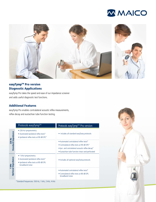



# easyTymp<sup>™</sup> Pro version Diagnostic Applications

easyTymp Pro takes the speed and ease of our impedance screener and adds useful diagnostic test functions.

## Additional Features

easyTymp Pro enables contralateral acoustic reflex measurements, reflex decay and eustachian tube function testing.

|                                     | Protocols easyTymp™                                                                                                       | Protocols easyTymp™ Pro version                                                                                                                                                               |
|-------------------------------------|---------------------------------------------------------------------------------------------------------------------------|-----------------------------------------------------------------------------------------------------------------------------------------------------------------------------------------------|
| <b>Standard Impedance</b><br>226 Hz | • 226 Hz tympanometry<br>· Automated ipsilateral reflex tests*<br>• Ipsilateral reflex tests at 90 dB SPL*                | • Includes all standard easyTymp protocols                                                                                                                                                    |
|                                     |                                                                                                                           | • Automated contralateral reflex tests*<br>• Contralateral reflex tests at 90 dB SPL*<br>• Ipsi- and contralateral acoustic reflex decay*<br>• Eustachian tube function intact and perforated |
| 1 kHz<br>Optional Impedance         | 1 kHz tympanometry<br>• Automated ipsilateral reflex tests*<br>. Ipsilateral reflex tests at 80 dB SPL<br>broadband noise | • Includes all optional easyTymp protocols                                                                                                                                                    |
|                                     |                                                                                                                           | • Automated contralateral reflex tests*<br>• Contralateral reflex tests at 80 dB SPL<br>broadband noise                                                                                       |
|                                     | * Standard frequencies: 500 Hz, 1 kHz, 2 kHz, 4 kHz                                                                       |                                                                                                                                                                                               |